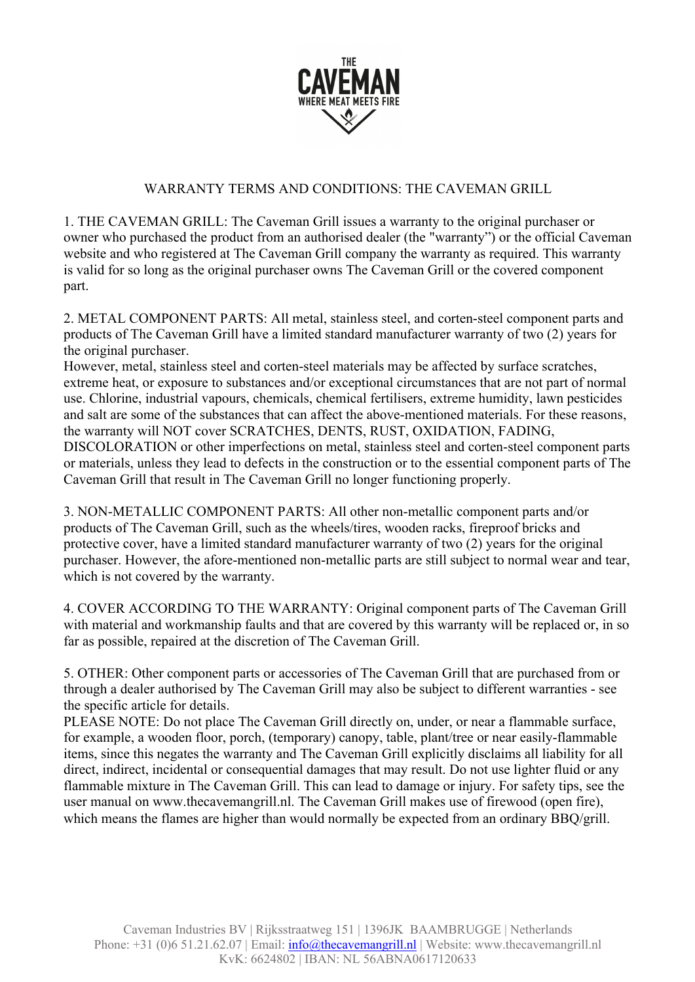

## WARRANTY TERMS AND CONDITIONS: THE CAVEMAN GRILL

1. THE CAVEMAN GRILL: The Caveman Grill issues a warranty to the original purchaser or owner who purchased the product from an authorised dealer (the "warranty") or the official Caveman website and who registered at The Caveman Grill company the warranty as required. This warranty is valid for so long as the original purchaser owns The Caveman Grill or the covered component part.

2. METAL COMPONENT PARTS: All metal, stainless steel, and corten-steel component parts and products of The Caveman Grill have a limited standard manufacturer warranty of two (2) years for the original purchaser.

However, metal, stainless steel and corten-steel materials may be affected by surface scratches, extreme heat, or exposure to substances and/or exceptional circumstances that are not part of normal use. Chlorine, industrial vapours, chemicals, chemical fertilisers, extreme humidity, lawn pesticides and salt are some of the substances that can affect the above-mentioned materials. For these reasons, the warranty will NOT cover SCRATCHES, DENTS, RUST, OXIDATION, FADING, DISCOLORATION or other imperfections on metal, stainless steel and corten-steel component parts or materials, unless they lead to defects in the construction or to the essential component parts of The Caveman Grill that result in The Caveman Grill no longer functioning properly.

3. NON-METALLIC COMPONENT PARTS: All other non-metallic component parts and/or products of The Caveman Grill, such as the wheels/tires, wooden racks, fireproof bricks and protective cover, have a limited standard manufacturer warranty of two (2) years for the original purchaser. However, the afore-mentioned non-metallic parts are still subject to normal wear and tear, which is not covered by the warranty.

4. COVER ACCORDING TO THE WARRANTY: Original component parts of The Caveman Grill with material and workmanship faults and that are covered by this warranty will be replaced or, in so far as possible, repaired at the discretion of The Caveman Grill.

5. OTHER: Other component parts or accessories of The Caveman Grill that are purchased from or through a dealer authorised by The Caveman Grill may also be subject to different warranties - see the specific article for details.

PLEASE NOTE: Do not place The Caveman Grill directly on, under, or near a flammable surface, for example, a wooden floor, porch, (temporary) canopy, table, plant/tree or near easily-flammable items, since this negates the warranty and The Caveman Grill explicitly disclaims all liability for all direct, indirect, incidental or consequential damages that may result. Do not use lighter fluid or any flammable mixture in The Caveman Grill. This can lead to damage or injury. For safety tips, see the user manual on www.thecavemangrill.nl. The Caveman Grill makes use of firewood (open fire), which means the flames are higher than would normally be expected from an ordinary BBQ/grill.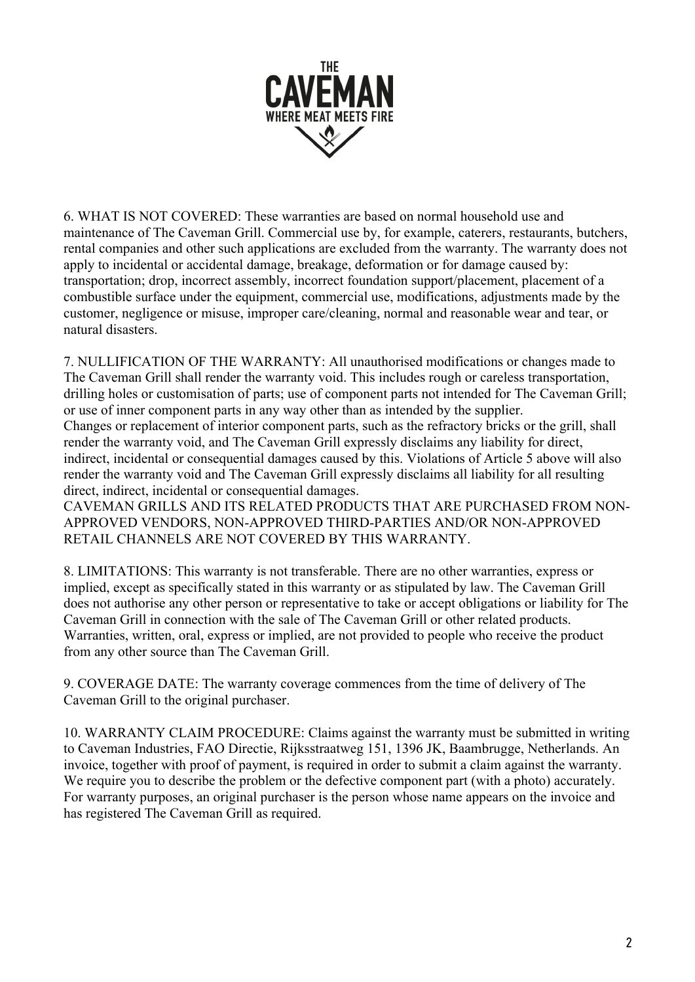

6. WHAT IS NOT COVERED: These warranties are based on normal household use and maintenance of The Caveman Grill. Commercial use by, for example, caterers, restaurants, butchers, rental companies and other such applications are excluded from the warranty. The warranty does not apply to incidental or accidental damage, breakage, deformation or for damage caused by: transportation; drop, incorrect assembly, incorrect foundation support/placement, placement of a combustible surface under the equipment, commercial use, modifications, adjustments made by the customer, negligence or misuse, improper care/cleaning, normal and reasonable wear and tear, or natural disasters.

7. NULLIFICATION OF THE WARRANTY: All unauthorised modifications or changes made to The Caveman Grill shall render the warranty void. This includes rough or careless transportation, drilling holes or customisation of parts; use of component parts not intended for The Caveman Grill; or use of inner component parts in any way other than as intended by the supplier. Changes or replacement of interior component parts, such as the refractory bricks or the grill, shall render the warranty void, and The Caveman Grill expressly disclaims any liability for direct, indirect, incidental or consequential damages caused by this. Violations of Article 5 above will also render the warranty void and The Caveman Grill expressly disclaims all liability for all resulting direct, indirect, incidental or consequential damages. CAVEMAN GRILLS AND ITS RELATED PRODUCTS THAT ARE PURCHASED FROM NON-

APPROVED VENDORS, NON-APPROVED THIRD-PARTIES AND/OR NON-APPROVED RETAIL CHANNELS ARE NOT COVERED BY THIS WARRANTY.

8. LIMITATIONS: This warranty is not transferable. There are no other warranties, express or implied, except as specifically stated in this warranty or as stipulated by law. The Caveman Grill does not authorise any other person or representative to take or accept obligations or liability for The Caveman Grill in connection with the sale of The Caveman Grill or other related products. Warranties, written, oral, express or implied, are not provided to people who receive the product from any other source than The Caveman Grill.

9. COVERAGE DATE: The warranty coverage commences from the time of delivery of The Caveman Grill to the original purchaser.

10. WARRANTY CLAIM PROCEDURE: Claims against the warranty must be submitted in writing to Caveman Industries, FAO Directie, Rijksstraatweg 151, 1396 JK, Baambrugge, Netherlands. An invoice, together with proof of payment, is required in order to submit a claim against the warranty. We require you to describe the problem or the defective component part (with a photo) accurately. For warranty purposes, an original purchaser is the person whose name appears on the invoice and has registered The Caveman Grill as required.